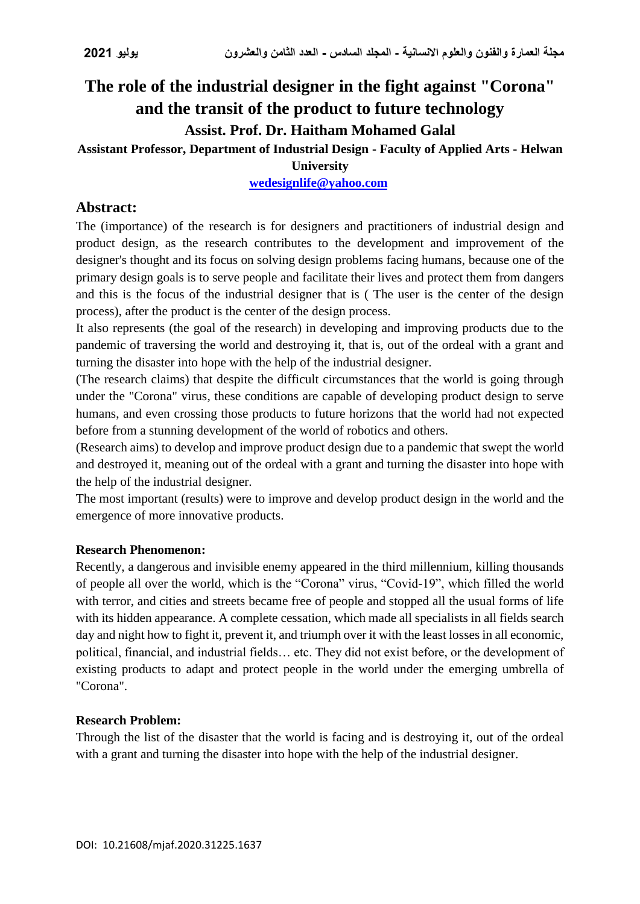# **The role of the industrial designer in the fight against "Corona" and the transit of the product to future technology Assist. Prof. Dr. Haitham Mohamed Galal**

**Assistant Professor, Department of Industrial Design - Faculty of Applied Arts - Helwan** 

# **University**

# **[wedesignlife@yahoo.com](mailto:wedesignlife@yahoo.com)**

# **Abstract:**

The (importance) of the research is for designers and practitioners of industrial design and product design, as the research contributes to the development and improvement of the designer's thought and its focus on solving design problems facing humans, because one of the primary design goals is to serve people and facilitate their lives and protect them from dangers and this is the focus of the industrial designer that is ( The user is the center of the design process), after the product is the center of the design process.

It also represents (the goal of the research) in developing and improving products due to the pandemic of traversing the world and destroying it, that is, out of the ordeal with a grant and turning the disaster into hope with the help of the industrial designer.

(The research claims) that despite the difficult circumstances that the world is going through under the "Corona" virus, these conditions are capable of developing product design to serve humans, and even crossing those products to future horizons that the world had not expected before from a stunning development of the world of robotics and others.

(Research aims) to develop and improve product design due to a pandemic that swept the world and destroyed it, meaning out of the ordeal with a grant and turning the disaster into hope with the help of the industrial designer.

The most important (results) were to improve and develop product design in the world and the emergence of more innovative products.

### **Research Phenomenon:**

Recently, a dangerous and invisible enemy appeared in the third millennium, killing thousands of people all over the world, which is the "Corona" virus, "Covid-19", which filled the world with terror, and cities and streets became free of people and stopped all the usual forms of life with its hidden appearance. A complete cessation, which made all specialists in all fields search day and night how to fight it, prevent it, and triumph over it with the least losses in all economic, political, financial, and industrial fields… etc. They did not exist before, or the development of existing products to adapt and protect people in the world under the emerging umbrella of "Corona".

# **Research Problem:**

Through the list of the disaster that the world is facing and is destroying it, out of the ordeal with a grant and turning the disaster into hope with the help of the industrial designer.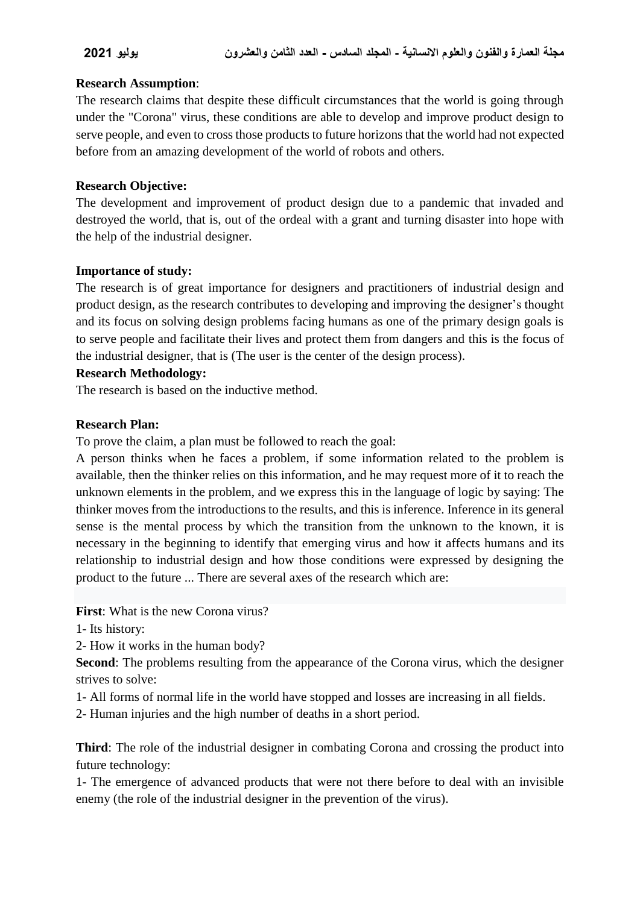### **Research Assumption**:

The research claims that despite these difficult circumstances that the world is going through under the "Corona" virus, these conditions are able to develop and improve product design to serve people, and even to cross those products to future horizons that the world had not expected before from an amazing development of the world of robots and others.

### **Research Objective:**

The development and improvement of product design due to a pandemic that invaded and destroyed the world, that is, out of the ordeal with a grant and turning disaster into hope with the help of the industrial designer.

### **Importance of study:**

The research is of great importance for designers and practitioners of industrial design and product design, as the research contributes to developing and improving the designer's thought and its focus on solving design problems facing humans as one of the primary design goals is to serve people and facilitate their lives and protect them from dangers and this is the focus of the industrial designer, that is (The user is the center of the design process).

#### **Research Methodology:**

The research is based on the inductive method.

### **Research Plan:**

To prove the claim, a plan must be followed to reach the goal:

A person thinks when he faces a problem, if some information related to the problem is available, then the thinker relies on this information, and he may request more of it to reach the unknown elements in the problem, and we express this in the language of logic by saying: The thinker moves from the introductions to the results, and this is inference. Inference in its general sense is the mental process by which the transition from the unknown to the known, it is necessary in the beginning to identify that emerging virus and how it affects humans and its relationship to industrial design and how those conditions were expressed by designing the product to the future ... There are several axes of the research which are:

**First**: What is the new Corona virus?

1- Its history:

2- How it works in the human body?

**Second:** The problems resulting from the appearance of the Corona virus, which the designer strives to solve:

- 1- All forms of normal life in the world have stopped and losses are increasing in all fields.
- 2- Human injuries and the high number of deaths in a short period.

**Third**: The role of the industrial designer in combating Corona and crossing the product into future technology:

1- The emergence of advanced products that were not there before to deal with an invisible enemy (the role of the industrial designer in the prevention of the virus).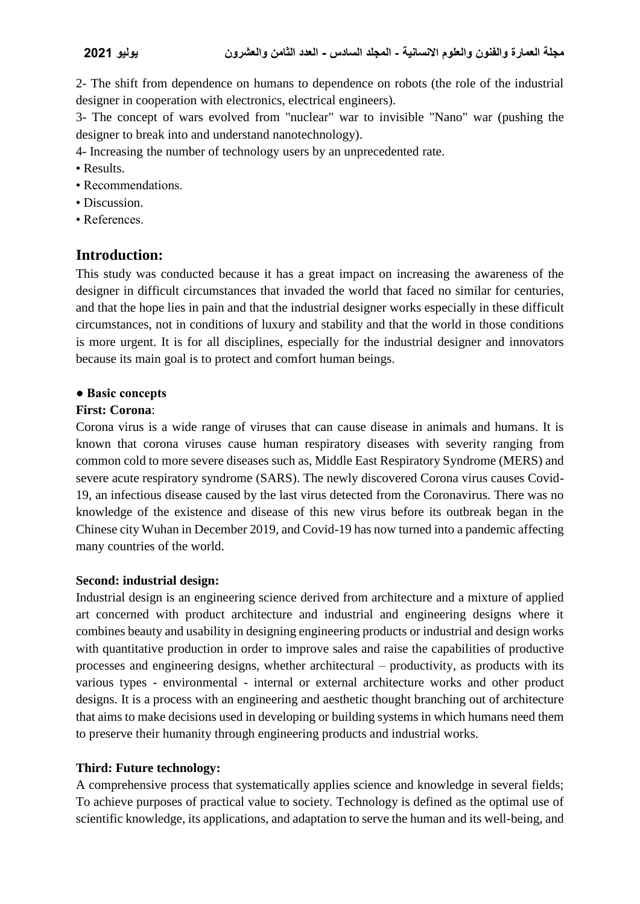2- The shift from dependence on humans to dependence on robots (the role of the industrial designer in cooperation with electronics, electrical engineers).

3- The concept of wars evolved from "nuclear" war to invisible "Nano" war (pushing the designer to break into and understand nanotechnology).

4- Increasing the number of technology users by an unprecedented rate.

- Results.
- Recommendations.
- Discussion.
- References.

# **Introduction:**

This study was conducted because it has a great impact on increasing the awareness of the designer in difficult circumstances that invaded the world that faced no similar for centuries, and that the hope lies in pain and that the industrial designer works especially in these difficult circumstances, not in conditions of luxury and stability and that the world in those conditions is more urgent. It is for all disciplines, especially for the industrial designer and innovators because its main goal is to protect and comfort human beings.

### **● Basic concepts**

### **First: Corona**:

Corona virus is a wide range of viruses that can cause disease in animals and humans. It is known that corona viruses cause human respiratory diseases with severity ranging from common cold to more severe diseases such as, Middle East Respiratory Syndrome (MERS) and severe acute respiratory syndrome (SARS). The newly discovered Corona virus causes Covid-19, an infectious disease caused by the last virus detected from the Coronavirus. There was no knowledge of the existence and disease of this new virus before its outbreak began in the Chinese city Wuhan in December 2019, and Covid-19 has now turned into a pandemic affecting many countries of the world.

### **Second: industrial design:**

Industrial design is an engineering science derived from architecture and a mixture of applied art concerned with product architecture and industrial and engineering designs where it combines beauty and usability in designing engineering products or industrial and design works with quantitative production in order to improve sales and raise the capabilities of productive processes and engineering designs, whether architectural – productivity, as products with its various types - environmental - internal or external architecture works and other product designs. It is a process with an engineering and aesthetic thought branching out of architecture that aims to make decisions used in developing or building systems in which humans need them to preserve their humanity through engineering products and industrial works.

# **Third: Future technology:**

A comprehensive process that systematically applies science and knowledge in several fields; To achieve purposes of practical value to society. Technology is defined as the optimal use of scientific knowledge, its applications, and adaptation to serve the human and its well-being, and